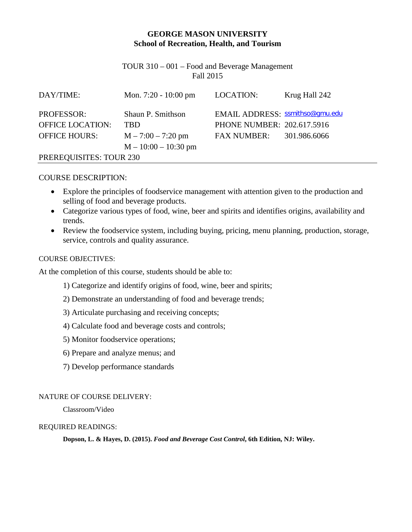## **GEORGE MASON UNIVERSITY School of Recreation, Health, and Tourism**

TOUR 310 – 001 – Food and Beverage Management Fall 2015

| DAY/TIME:               | Mon. $7:20 - 10:00 \text{ pm}$ | LOCATION:                       | Krug Hall 242 |  |  |
|-------------------------|--------------------------------|---------------------------------|---------------|--|--|
| <b>PROFESSOR:</b>       | Shaun P. Smithson              | EMAIL ADDRESS: ssmithso@gmu.edu |               |  |  |
| <b>OFFICE LOCATION:</b> | TBD                            | PHONE NUMBER: 202.617.5916      |               |  |  |
| <b>OFFICE HOURS:</b>    | $M - 7:00 - 7:20$ pm           | <b>FAX NUMBER:</b>              | 301.986.6066  |  |  |
|                         | $M - 10:00 - 10:30$ pm         |                                 |               |  |  |
| PREREQUISITES: TOUR 230 |                                |                                 |               |  |  |

#### COURSE DESCRIPTION:

- Explore the principles of foodservice management with attention given to the production and selling of food and beverage products.
- Categorize various types of food, wine, beer and spirits and identifies origins, availability and trends.
- Review the foodservice system, including buying, pricing, menu planning, production, storage, service, controls and quality assurance.

#### COURSE OBJECTIVES:

At the completion of this course, students should be able to:

- 1) Categorize and identify origins of food, wine, beer and spirits;
- 2) Demonstrate an understanding of food and beverage trends;
- 3) Articulate purchasing and receiving concepts;
- 4) Calculate food and beverage costs and controls;
- 5) Monitor foodservice operations;
- 6) Prepare and analyze menus; and
- 7) Develop performance standards

#### NATURE OF COURSE DELIVERY:

Classroom/Video

#### REQUIRED READINGS:

**Dopson, L. & Hayes, D. (2015).** *Food and Beverage Cost Control***, 6th Edition, NJ: Wiley.**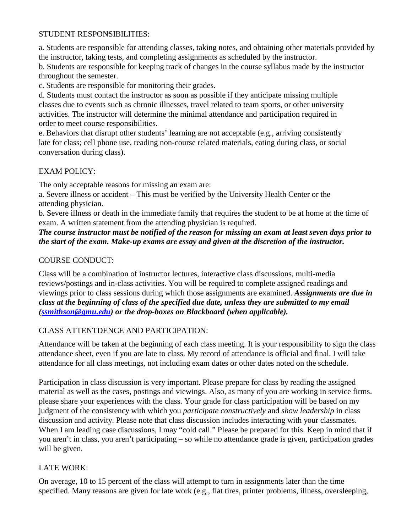#### STUDENT RESPONSIBILITIES:

a. Students are responsible for attending classes, taking notes, and obtaining other materials provided by the instructor, taking tests, and completing assignments as scheduled by the instructor.

b. Students are responsible for keeping track of changes in the course syllabus made by the instructor throughout the semester.

c. Students are responsible for monitoring their grades.

d. Students must contact the instructor as soon as possible if they anticipate missing multiple classes due to events such as chronic illnesses, travel related to team sports, or other university activities. The instructor will determine the minimal attendance and participation required in order to meet course responsibilities.

e. Behaviors that disrupt other students' learning are not acceptable (e.g., arriving consistently late for class; cell phone use, reading non-course related materials, eating during class, or social conversation during class).

# EXAM POLICY:

The only acceptable reasons for missing an exam are:

a. Severe illness or accident – This must be verified by the University Health Center or the attending physician.

b. Severe illness or death in the immediate family that requires the student to be at home at the time of exam. A written statement from the attending physician is required.

*The course instructor must be notified of the reason for missing an exam at least seven days prior to the start of the exam. Make-up exams are essay and given at the discretion of the instructor.*

# COURSE CONDUCT:

Class will be a combination of instructor lectures, interactive class discussions, multi-media reviews/postings and in-class activities. You will be required to complete assigned readings and viewings prior to class sessions during which those assignments are examined. *Assignments are due in class at the beginning of class of the specified due date, unless they are submitted to my email [\(ssmithson@gmu.edu\)](mailto:ssmithson@gmu.edu) or the drop-boxes on Blackboard (when applicable).*

# CLASS ATTENTDENCE AND PARTICIPATION:

Attendance will be taken at the beginning of each class meeting. It is your responsibility to sign the class attendance sheet, even if you are late to class. My record of attendance is official and final. I will take attendance for all class meetings, not including exam dates or other dates noted on the schedule.

Participation in class discussion is very important. Please prepare for class by reading the assigned material as well as the cases, postings and viewings. Also, as many of you are working in service firms. please share your experiences with the class. Your grade for class participation will be based on my judgment of the consistency with which you *participate constructively* and *show leadership* in class discussion and activity. Please note that class discussion includes interacting with your classmates. When I am leading case discussions, I may "cold call." Please be prepared for this. Keep in mind that if you aren't in class, you aren't participating – so while no attendance grade is given, participation grades will be given.

# LATE WORK:

On average, 10 to 15 percent of the class will attempt to turn in assignments later than the time specified. Many reasons are given for late work (e.g., flat tires, printer problems, illness, oversleeping,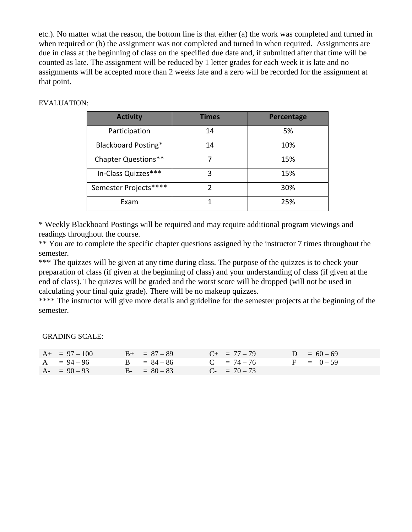etc.). No matter what the reason, the bottom line is that either (a) the work was completed and turned in when required or (b) the assignment was not completed and turned in when required. Assignments are due in class at the beginning of class on the specified due date and, if submitted after that time will be counted as late. The assignment will be reduced by 1 letter grades for each week it is late and no assignments will be accepted more than 2 weeks late and a zero will be recorded for the assignment at that point.

#### EVALUATION:

| <b>Activity</b>       | <b>Times</b> | Percentage |
|-----------------------|--------------|------------|
| Participation         | 14           | 5%         |
| Blackboard Posting*   | 14           | 10%        |
| Chapter Questions**   |              | 15%        |
| In-Class Quizzes***   | 3            | 15%        |
| Semester Projects**** | 2            | 30%        |
| Exam                  |              | 25%        |

\* Weekly Blackboard Postings will be required and may require additional program viewings and readings throughout the course.

\*\* You are to complete the specific chapter questions assigned by the instructor 7 times throughout the semester.

\*\*\* The quizzes will be given at any time during class. The purpose of the quizzes is to check your preparation of class (if given at the beginning of class) and your understanding of class (if given at the end of class). The quizzes will be graded and the worst score will be dropped (will not be used in calculating your final quiz grade). There will be no makeup quizzes.

\*\*\*\* The instructor will give more details and guideline for the semester projects at the beginning of the semester.

GRADING SCALE:

| $A_{+} = 97 - 100$ | $B_{+} = 87 - 89$ | $C_{+}$ = 77 - 79        | $D = 60 - 69$ |
|--------------------|-------------------|--------------------------|---------------|
| $A = 94 - 96$      | $B = 84 - 86$     | $C = 74 - 76$            | $F = 0-59$    |
| $A - 90 - 93$      | $B - = 80 - 83$   | $C_{\text{F}}$ = 70 – 73 |               |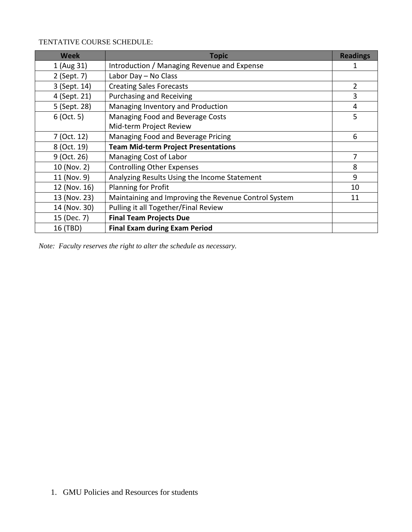# TENTATIVE COURSE SCHEDULE:

| <b>Week</b>  | <b>Topic</b>                                         | <b>Readings</b> |
|--------------|------------------------------------------------------|-----------------|
| 1 (Aug 31)   | Introduction / Managing Revenue and Expense          |                 |
| 2 (Sept. 7)  | Labor Day - No Class                                 |                 |
| 3 (Sept. 14) | <b>Creating Sales Forecasts</b>                      | $\overline{2}$  |
| 4 (Sept. 21) | <b>Purchasing and Receiving</b>                      | 3               |
| 5 (Sept. 28) | Managing Inventory and Production                    | 4               |
| $6$ (Oct. 5) | Managing Food and Beverage Costs                     | 5               |
|              | Mid-term Project Review                              |                 |
| 7 (Oct. 12)  | Managing Food and Beverage Pricing                   | 6               |
| 8 (Oct. 19)  | <b>Team Mid-term Project Presentations</b>           |                 |
| 9 (Oct. 26)  | Managing Cost of Labor                               | 7               |
| 10 (Nov. 2)  | <b>Controlling Other Expenses</b>                    | 8               |
| 11 (Nov. 9)  | Analyzing Results Using the Income Statement         | 9               |
| 12 (Nov. 16) | Planning for Profit                                  | 10              |
| 13 (Nov. 23) | Maintaining and Improving the Revenue Control System | 11              |
| 14 (Nov. 30) | Pulling it all Together/Final Review                 |                 |
| 15 (Dec. 7)  | <b>Final Team Projects Due</b>                       |                 |
| 16 (TBD)     | <b>Final Exam during Exam Period</b>                 |                 |

*Note: Faculty reserves the right to alter the schedule as necessary.*